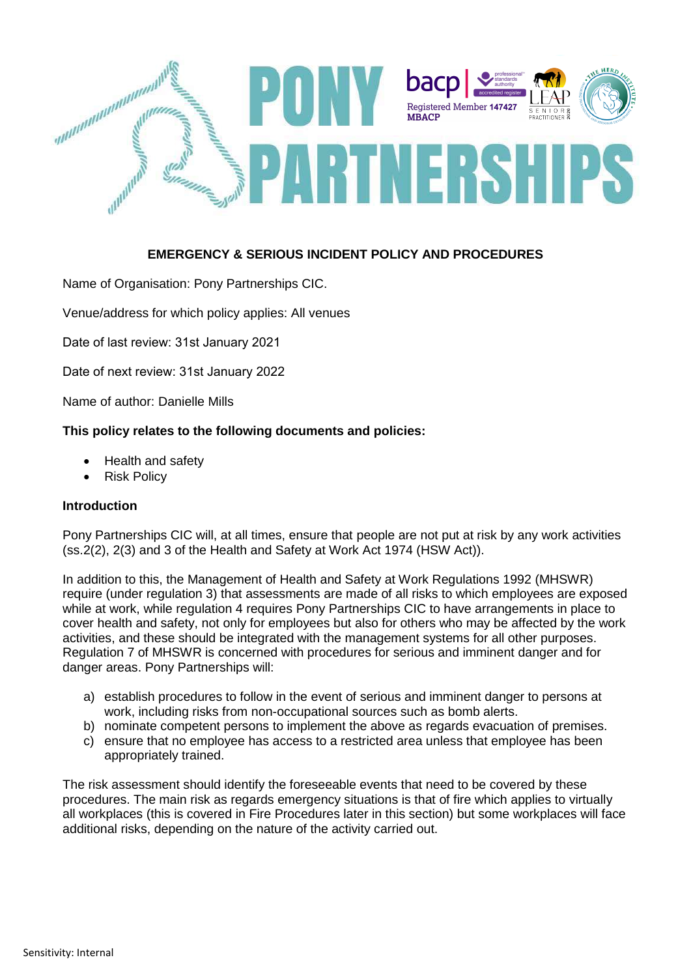

# **EMERGENCY & SERIOUS INCIDENT POLICY AND PROCEDURES**

Name of Organisation: Pony Partnerships CIC.

Venue/address for which policy applies: All venues

Date of last review: 31st January 2021

Date of next review: 31st January 2022

Name of author: Danielle Mills

# **This policy relates to the following documents and policies:**

- Health and safety
- Risk Policy

# **Introduction**

Pony Partnerships CIC will, at all times, ensure that people are not put at risk by any work activities (ss.2(2), 2(3) and 3 of the Health and Safety at Work Act 1974 (HSW Act)).

In addition to this, the Management of Health and Safety at Work Regulations 1992 (MHSWR) require (under regulation 3) that assessments are made of all risks to which employees are exposed while at work, while regulation 4 requires Pony Partnerships CIC to have arrangements in place to cover health and safety, not only for employees but also for others who may be affected by the work activities, and these should be integrated with the management systems for all other purposes. Regulation 7 of MHSWR is concerned with procedures for serious and imminent danger and for danger areas. Pony Partnerships will:

- a) establish procedures to follow in the event of serious and imminent danger to persons at work, including risks from non-occupational sources such as bomb alerts.
- b) nominate competent persons to implement the above as regards evacuation of premises.
- c) ensure that no employee has access to a restricted area unless that employee has been appropriately trained.

The risk assessment should identify the foreseeable events that need to be covered by these procedures. The main risk as regards emergency situations is that of fire which applies to virtually all workplaces (this is covered in Fire Procedures later in this section) but some workplaces will face additional risks, depending on the nature of the activity carried out.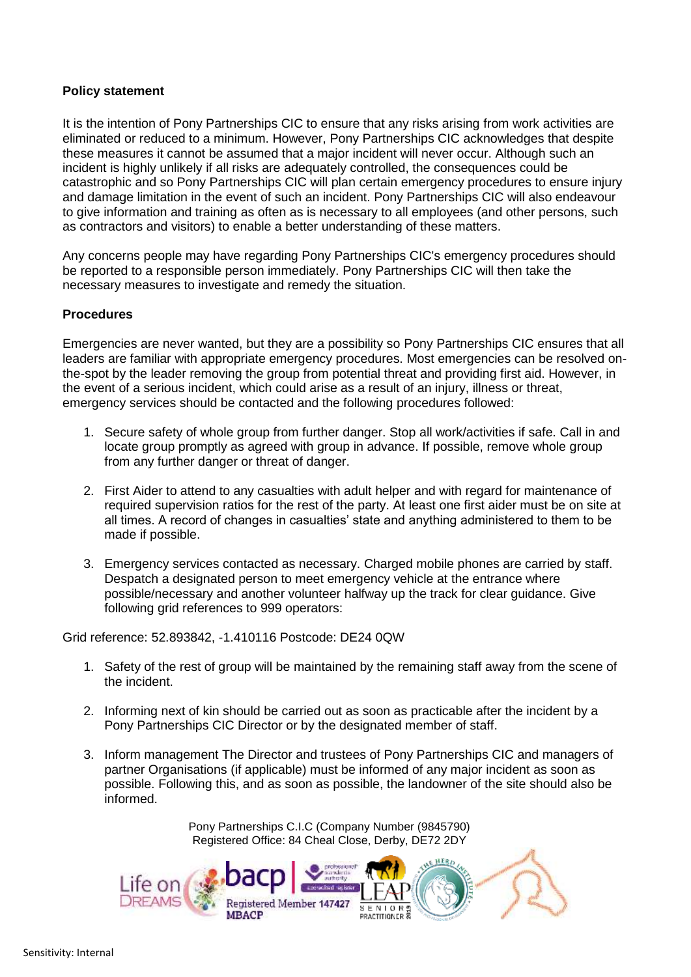# **Policy statement**

It is the intention of Pony Partnerships CIC to ensure that any risks arising from work activities are eliminated or reduced to a minimum. However, Pony Partnerships CIC acknowledges that despite these measures it cannot be assumed that a major incident will never occur. Although such an incident is highly unlikely if all risks are adequately controlled, the consequences could be catastrophic and so Pony Partnerships CIC will plan certain emergency procedures to ensure injury and damage limitation in the event of such an incident. Pony Partnerships CIC will also endeavour to give information and training as often as is necessary to all employees (and other persons, such as contractors and visitors) to enable a better understanding of these matters.

Any concerns people may have regarding Pony Partnerships CIC's emergency procedures should be reported to a responsible person immediately. Pony Partnerships CIC will then take the necessary measures to investigate and remedy the situation.

# **Procedures**

Emergencies are never wanted, but they are a possibility so Pony Partnerships CIC ensures that all leaders are familiar with appropriate emergency procedures. Most emergencies can be resolved onthe-spot by the leader removing the group from potential threat and providing first aid. However, in the event of a serious incident, which could arise as a result of an injury, illness or threat, emergency services should be contacted and the following procedures followed:

- 1. Secure safety of whole group from further danger. Stop all work/activities if safe. Call in and locate group promptly as agreed with group in advance. If possible, remove whole group from any further danger or threat of danger.
- 2. First Aider to attend to any casualties with adult helper and with regard for maintenance of required supervision ratios for the rest of the party. At least one first aider must be on site at all times. A record of changes in casualties' state and anything administered to them to be made if possible.
- 3. Emergency services contacted as necessary. Charged mobile phones are carried by staff. Despatch a designated person to meet emergency vehicle at the entrance where possible/necessary and another volunteer halfway up the track for clear guidance. Give following grid references to 999 operators:

Grid reference: 52.893842, -1.410116 Postcode: DE24 0QW

- 1. Safety of the rest of group will be maintained by the remaining staff away from the scene of the incident.
- 2. Informing next of kin should be carried out as soon as practicable after the incident by a Pony Partnerships CIC Director or by the designated member of staff.
- 3. Inform management The Director and trustees of Pony Partnerships CIC and managers of partner Organisations (if applicable) must be informed of any major incident as soon as possible. Following this, and as soon as possible, the landowner of the site should also be informed.

Pony Partnerships C.I.C (Company Number (9845790) Registered Office: 84 Cheal Close, Derby, DE72 2DY

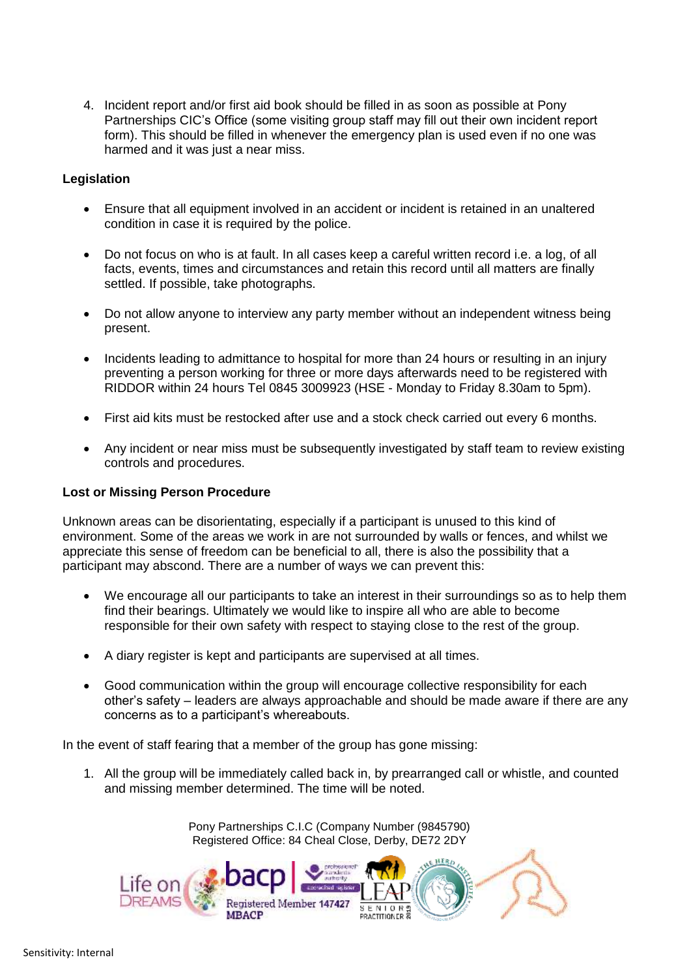4. Incident report and/or first aid book should be filled in as soon as possible at Pony Partnerships CIC's Office (some visiting group staff may fill out their own incident report form). This should be filled in whenever the emergency plan is used even if no one was harmed and it was just a near miss.

# **Legislation**

- Ensure that all equipment involved in an accident or incident is retained in an unaltered condition in case it is required by the police.
- Do not focus on who is at fault. In all cases keep a careful written record i.e. a log, of all facts, events, times and circumstances and retain this record until all matters are finally settled. If possible, take photographs.
- Do not allow anyone to interview any party member without an independent witness being present.
- Incidents leading to admittance to hospital for more than 24 hours or resulting in an injury preventing a person working for three or more days afterwards need to be registered with RIDDOR within 24 hours Tel 0845 3009923 (HSE - Monday to Friday 8.30am to 5pm).
- First aid kits must be restocked after use and a stock check carried out every 6 months.
- Any incident or near miss must be subsequently investigated by staff team to review existing controls and procedures.

# **Lost or Missing Person Procedure**

Unknown areas can be disorientating, especially if a participant is unused to this kind of environment. Some of the areas we work in are not surrounded by walls or fences, and whilst we appreciate this sense of freedom can be beneficial to all, there is also the possibility that a participant may abscond. There are a number of ways we can prevent this:

- We encourage all our participants to take an interest in their surroundings so as to help them find their bearings. Ultimately we would like to inspire all who are able to become responsible for their own safety with respect to staying close to the rest of the group.
- A diary register is kept and participants are supervised at all times.
- Good communication within the group will encourage collective responsibility for each other's safety – leaders are always approachable and should be made aware if there are any concerns as to a participant's whereabouts.

In the event of staff fearing that a member of the group has gone missing:

1. All the group will be immediately called back in, by prearranged call or whistle, and counted and missing member determined. The time will be noted.

> Pony Partnerships C.I.C (Company Number (9845790) Registered Office: 84 Cheal Close, Derby, DE72 2DY